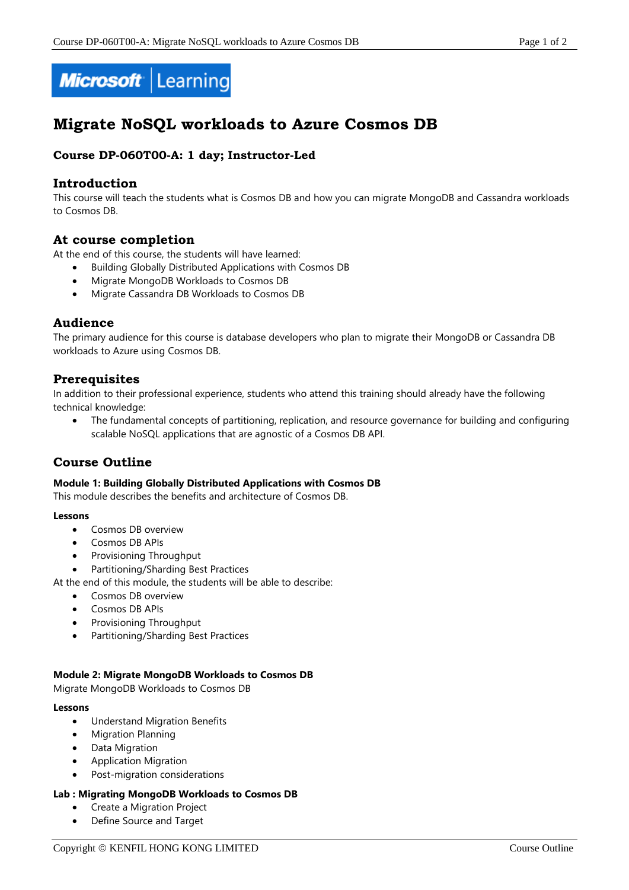



# **Migrate NoSQL workloads to Azure Cosmos DB**

## **Course DP-060T00-A: 1 day; Instructor-Led**

## **Introduction**

This course will teach the students what is Cosmos DB and how you can migrate MongoDB and Cassandra workloads to Cosmos DB.

### **At course completion**

At the end of this course, the students will have learned:

- Building Globally Distributed Applications with Cosmos DB
- Migrate MongoDB Workloads to Cosmos DB
- Migrate Cassandra DB Workloads to Cosmos DB

## **Audience**

The primary audience for this course is database developers who plan to migrate their MongoDB or Cassandra DB workloads to Azure using Cosmos DB.

## **Prerequisites**

In addition to their professional experience, students who attend this training should already have the following technical knowledge:

 The fundamental concepts of partitioning, replication, and resource governance for building and configuring scalable NoSQL applications that are agnostic of a Cosmos DB API.

## **Course Outline**

#### **Module 1: Building Globally Distributed Applications with Cosmos DB**

This module describes the benefits and architecture of Cosmos DB.

#### **Lessons**

- **Cosmos DB overview**
- Cosmos DB APIs
- Provisioning Throughput
- Partitioning/Sharding Best Practices

At the end of this module, the students will be able to describe:

- Cosmos DB overview
- Cosmos DB APIs
- Provisioning Throughput
- Partitioning/Sharding Best Practices

#### **Module 2: Migrate MongoDB Workloads to Cosmos DB**

Migrate MongoDB Workloads to Cosmos DB

#### **Lessons**

- Understand Migration Benefits
- Migration Planning
- Data Migration
- Application Migration
- Post-migration considerations

#### **Lab : Migrating MongoDB Workloads to Cosmos DB**

- Create a Migration Project
- Define Source and Target